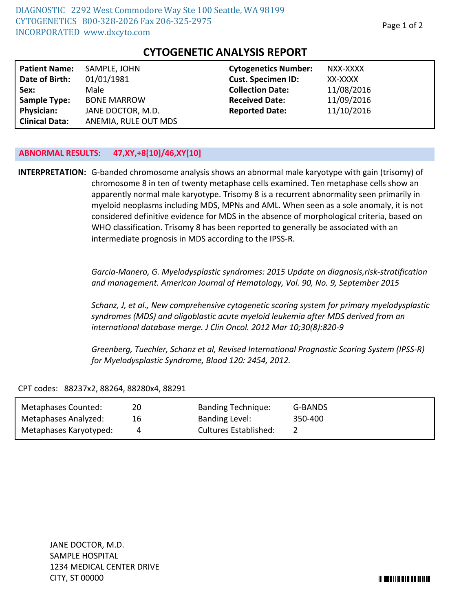| <b>Patient Name:</b>  | SAMPLE, JOHN         | <b>Cytogenetics Number:</b> | NXX-XXXX   |
|-----------------------|----------------------|-----------------------------|------------|
| Date of Birth:        | 01/01/1981           | <b>Cust. Specimen ID:</b>   | XX-XXXX    |
| Sex:                  | Male                 | <b>Collection Date:</b>     | 11/08/2016 |
| <b>Sample Type:</b>   | <b>BONE MARROW</b>   | <b>Received Date:</b>       | 11/09/2016 |
| <b>Physician:</b>     | JANE DOCTOR, M.D.    | <b>Reported Date:</b>       | 11/10/2016 |
| <b>Clinical Data:</b> | ANEMIA, RULE OUT MDS |                             |            |

## **CYTOGENETIC ANALYSIS REPORT**

## **ABNORMAL RESULTS: 47,XY,+8[10]/46,XY[10]**

**INTERPRETATION:** G-banded chromosome analysis shows an abnormal male karyotype with gain (trisomy) of chromosome 8 in ten of twenty metaphase cells examined. Ten metaphase cells show an apparently normal male karyotype. Trisomy 8 is a recurrent abnormality seen primarily in myeloid neoplasms including MDS, MPNs and AML. When seen as a sole anomaly, it is not considered definitive evidence for MDS in the absence of morphological criteria, based on WHO classification. Trisomy 8 has been reported to generally be associated with an intermediate prognosis in MDS according to the IPSS-R.

> *Garcia-Manero, G. Myelodysplastic syndromes: 2015 Update on diagnosis,risk-stratification and management. American Journal of Hematology, Vol. 90, No. 9, September 2015*

> *Schanz, J, et al., New comprehensive cytogenetic scoring system for primary myelodysplastic syndromes (MDS) and oligoblastic acute myeloid leukemia after MDS derived from an international database merge. J Clin Oncol. 2012 Mar 10;30(8):820-9*

*Greenberg, Tuechler, Schanz et al, Revised International Prognostic Scoring System (IPSS-R) for Myelodysplastic Syndrome, Blood 120: 2454, 2012.*

CPT codes: 88237x2, 88264, 88280x4, 88291

| Metaphases Counted:    | 20 | <b>Banding Technique:</b>    | G-BANDS |
|------------------------|----|------------------------------|---------|
| Metaphases Analyzed:   | 16 | <b>Banding Level:</b>        | 350-400 |
| Metaphases Karyotyped: | 4  | <b>Cultures Established:</b> |         |